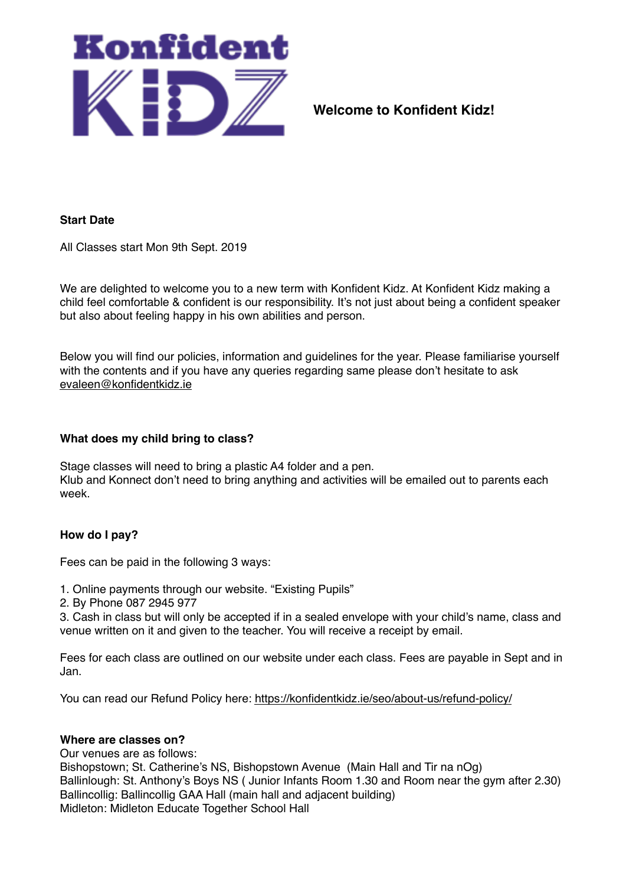

**Welcome to Konfident Kidz!**

## **Start Date**

All Classes start Mon 9th Sept. 2019

We are delighted to welcome you to a new term with Konfident Kidz. At Konfident Kidz making a child feel comfortable & confident is our responsibility. It's not just about being a confident speaker but also about feeling happy in his own abilities and person.

Below you will find our policies, information and guidelines for the year. Please familiarise yourself with the contents and if you have any queries regarding same please don't hesitate to ask [evaleen@konfidentkidz.ie](mailto:evaleen@konfidentkidz.ie)

#### **What does my child bring to class?**

Stage classes will need to bring a plastic A4 folder and a pen. Klub and Konnect don't need to bring anything and activities will be emailed out to parents each week.

## **How do I pay?**

Fees can be paid in the following 3 ways:

- 1. Online payments through our website. "Existing Pupils"
- 2. By Phone 087 2945 977

3. Cash in class but will only be accepted if in a sealed envelope with your child's name, class and venue written on it and given to the teacher. You will receive a receipt by email.

Fees for each class are outlined on our website under each class. Fees are payable in Sept and in Jan.

You can read our Refund Policy here:<https://konfidentkidz.ie/seo/about-us/refund-policy/>

#### **Where are classes on?**

Our venues are as follows: Bishopstown; St. Catherine's NS, Bishopstown Avenue (Main Hall and Tir na nOg) Ballinlough: St. Anthony's Boys NS ( Junior Infants Room 1.30 and Room near the gym after 2.30) Ballincollig: Ballincollig GAA Hall (main hall and adjacent building) Midleton: Midleton Educate Together School Hall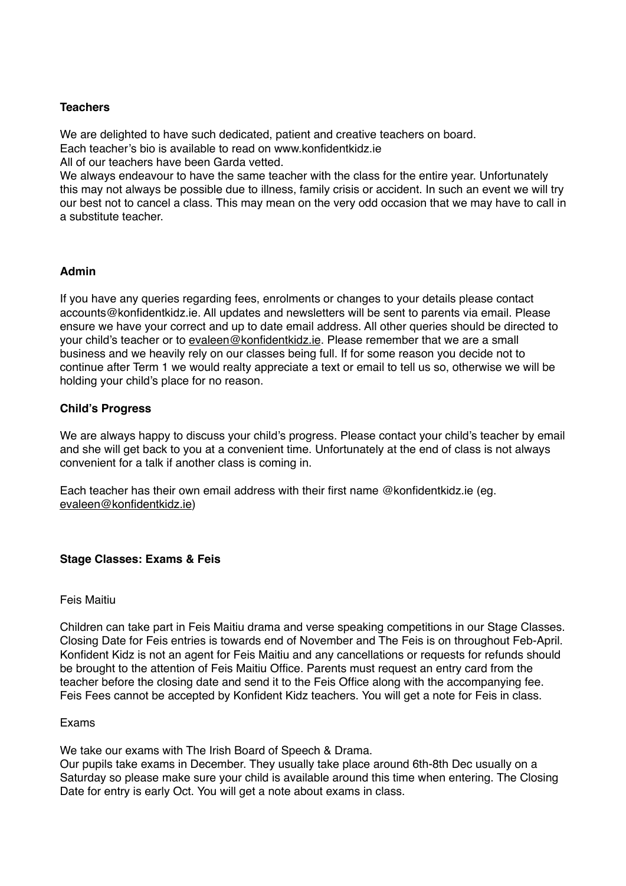# **Teachers**

We are delighted to have such dedicated, patient and creative teachers on board. Each teacher's bio is available to read on www.konfidentkidz.ie All of our teachers have been Garda vetted.

We always endeavour to have the same teacher with the class for the entire year. Unfortunately this may not always be possible due to illness, family crisis or accident. In such an event we will try our best not to cancel a class. This may mean on the very odd occasion that we may have to call in a substitute teacher.

# **Admin**

If you have any queries regarding fees, enrolments or changes to your details please contact accounts@konfidentkidz.ie. All updates and newsletters will be sent to parents via email. Please ensure we have your correct and up to date email address. All other queries should be directed to your child's teacher or to [evaleen@konfidentkidz.ie](mailto:evaleen@konfidentkidz.ie). Please remember that we are a small business and we heavily rely on our classes being full. If for some reason you decide not to continue after Term 1 we would realty appreciate a text or email to tell us so, otherwise we will be holding your child's place for no reason.

# **Child's Progress**

We are always happy to discuss your child's progress. Please contact your child's teacher by email and she will get back to you at a convenient time. Unfortunately at the end of class is not always convenient for a talk if another class is coming in.

Each teacher has their own email address with their first name @konfidentkidz.ie (eg. [evaleen@konfidentkidz.ie](mailto:evaleen@konfidentkidz.ie))

## **Stage Classes: Exams & Feis**

## Feis Maitiu

Children can take part in Feis Maitiu drama and verse speaking competitions in our Stage Classes. Closing Date for Feis entries is towards end of November and The Feis is on throughout Feb-April. Konfident Kidz is not an agent for Feis Maitiu and any cancellations or requests for refunds should be brought to the attention of Feis Maitiu Office. Parents must request an entry card from the teacher before the closing date and send it to the Feis Office along with the accompanying fee. Feis Fees cannot be accepted by Konfident Kidz teachers. You will get a note for Feis in class.

## Exams

We take our exams with The Irish Board of Speech & Drama.

Our pupils take exams in December. They usually take place around 6th-8th Dec usually on a Saturday so please make sure your child is available around this time when entering. The Closing Date for entry is early Oct. You will get a note about exams in class.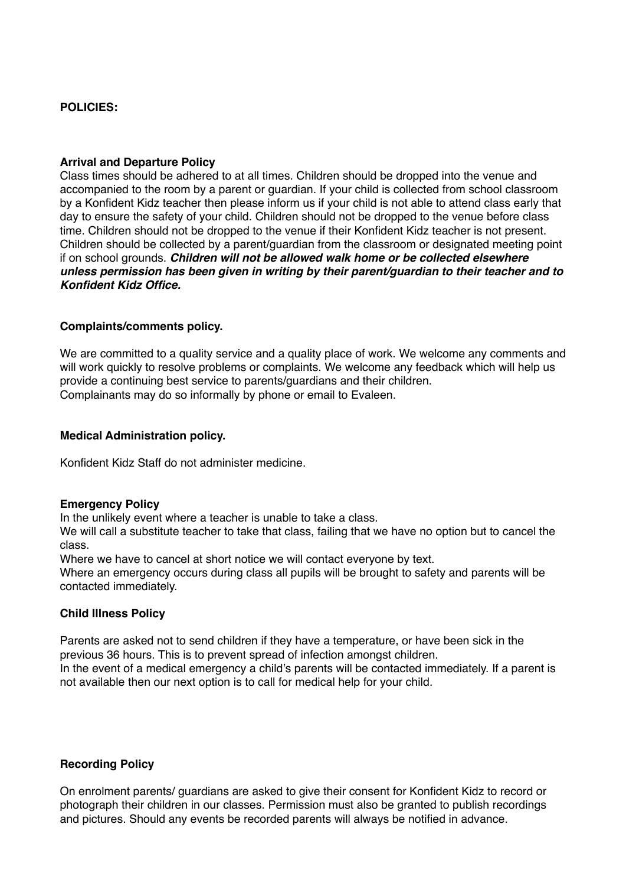## **POLICIES:**

#### **Arrival and Departure Policy**

Class times should be adhered to at all times. Children should be dropped into the venue and accompanied to the room by a parent or guardian. If your child is collected from school classroom by a Konfident Kidz teacher then please inform us if your child is not able to attend class early that day to ensure the safety of your child. Children should not be dropped to the venue before class time. Children should not be dropped to the venue if their Konfident Kidz teacher is not present. Children should be collected by a parent/guardian from the classroom or designated meeting point if on school grounds. *Children will not be allowed walk home or be collected elsewhere unless permission has been given in writing by their parent/guardian to their teacher and to Konfident Kidz Office.*

#### **Complaints/comments policy.**

We are committed to a quality service and a quality place of work. We welcome any comments and will work quickly to resolve problems or complaints. We welcome any feedback which will help us provide a continuing best service to parents/guardians and their children. Complainants may do so informally by phone or email to Evaleen.

#### **Medical Administration policy.**

Konfident Kidz Staff do not administer medicine.

#### **Emergency Policy**

In the unlikely event where a teacher is unable to take a class.

We will call a substitute teacher to take that class, failing that we have no option but to cancel the class.

Where we have to cancel at short notice we will contact everyone by text.

Where an emergency occurs during class all pupils will be brought to safety and parents will be contacted immediately.

#### **Child Illness Policy**

Parents are asked not to send children if they have a temperature, or have been sick in the previous 36 hours. This is to prevent spread of infection amongst children.

In the event of a medical emergency a child's parents will be contacted immediately. If a parent is not available then our next option is to call for medical help for your child.

#### **Recording Policy**

On enrolment parents/ guardians are asked to give their consent for Konfident Kidz to record or photograph their children in our classes. Permission must also be granted to publish recordings and pictures. Should any events be recorded parents will always be notified in advance.